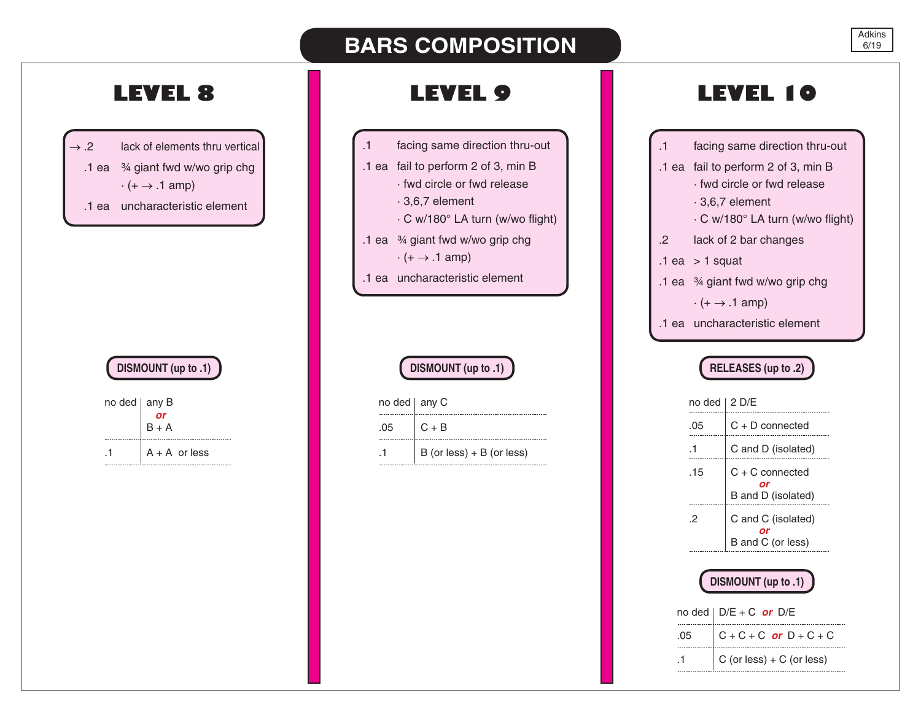## **BARS COMPOSITION**

 $\rightarrow$  .2 lack of elements thru vertical .1 ea ¾ giant fwd w/wo grip chg  $\cdot (+ \rightarrow .1$  amp) .1 ea uncharacteristic element

#### **DISMOUNT (up to .1)**

| no ded any B |                    |
|--------------|--------------------|
|              | $\frac{1}{\alpha}$ |
|              | $B + A$            |
|              | $A + A$ or less    |
|              |                    |

- .1 facing same direction thru-out
- .1 ea fail to perform 2 of 3, min B
	- · fwd circle or fwd release
	- · 3,6,7 element
	- · C w/180° LA turn (w/wo flight)
- .1 ea ¾ giant fwd w/wo grip chg
	- $\cdot (+ \rightarrow .1 \text{ amp})$
- .1 ea uncharacteristic element

### **DISMOUNT (up to .1)**

| no ded $ $ any C |                             |
|------------------|-----------------------------|
| 05               | $C + B$                     |
|                  | $B$ (or less) + B (or less) |
|                  |                             |

# **LEVEL 8 LEVEL 9 LEVEL 10**

| $\overline{.}1$ | facing same direction thru-out              |
|-----------------|---------------------------------------------|
|                 | .1 ea fail to perform 2 of 3, min B         |
|                 | $\cdot$ fwd circle or fwd release           |
|                 | $.3,6,7$ element                            |
|                 | ⋅ C w/180° LA turn (w/wo flight)            |
| $\cdot$         | lack of 2 bar changes                       |
|                 | $.1$ ea $> 1$ squat                         |
|                 | .1 ea $\frac{3}{4}$ giant fwd w/wo grip chg |
|                 | $\cdot (+ \rightarrow .1$ amp)              |
|                 | .1 ea uncharacteristic element              |
|                 |                                             |

#### **RELEASES (up to .2)**

| no ded l | 2 D/E                                       |
|----------|---------------------------------------------|
| .05      | $C + D$ connected                           |
| .1       | C and D (isolated)                          |
| .15      | C + C connected<br>or<br>B and D (isolated) |
| 2        | C and C (isolated)<br>B and C (or less)     |

### **DISMOUNT (up to .1)**

| no ded $\mid$ D/E + C or D/E   |
|--------------------------------|
| $\vert$ C + C + C or D + C + C |
| $C$ (or less) + $C$ (or less)  |
|                                |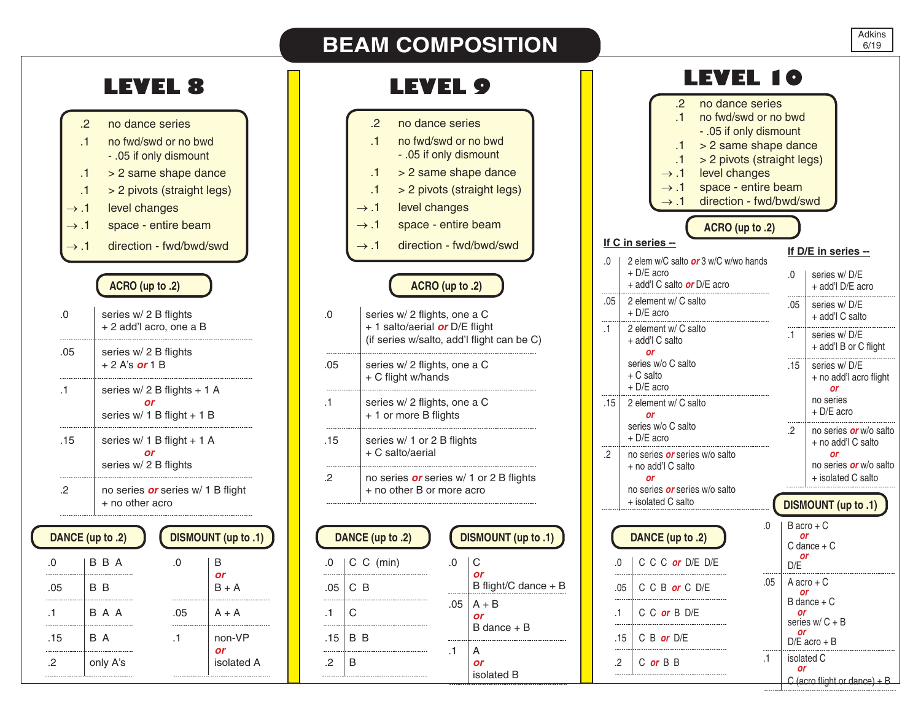|                                      |                                                                                                                                                                                        |                      |                     | <b>BEAM COMPOSITION</b>                                                                                                                                                                                                                |                              |         |                                                                                                                                                                                                                                                                                        |           |            | Adkins<br>6/19                                     |
|--------------------------------------|----------------------------------------------------------------------------------------------------------------------------------------------------------------------------------------|----------------------|---------------------|----------------------------------------------------------------------------------------------------------------------------------------------------------------------------------------------------------------------------------------|------------------------------|---------|----------------------------------------------------------------------------------------------------------------------------------------------------------------------------------------------------------------------------------------------------------------------------------------|-----------|------------|----------------------------------------------------|
|                                      | <b>LEVEL 8</b>                                                                                                                                                                         |                      |                     | <b>LEVEL 9</b>                                                                                                                                                                                                                         |                              |         | <b>LEVEL 10</b>                                                                                                                                                                                                                                                                        |           |            |                                                    |
| $\rightarrow .1$<br>$\rightarrow .1$ | no dance series<br>2<br>no fwd/swd or no bwd<br>.1<br>- .05 if only dismount<br>> 2 same shape dance<br>.1<br>> 2 pivots (straight legs)<br>.1<br>level changes<br>space - entire beam |                      |                     | no dance series<br>.2<br>no fwd/swd or no bwd<br>$\cdot$ 1<br>- .05 if only dismount<br>> 2 same shape dance<br>.1<br>> 2 pivots (straight legs)<br>.1<br>level changes<br>$\rightarrow .1$<br>space - entire beam<br>$\rightarrow .1$ |                              |         | no dance series<br>$\cdot$ 1<br>no fwd/swd or no bwd<br>- .05 if only dismount<br>> 2 same shape dance<br>> 2 pivots (straight legs)<br>level changes<br>$\rightarrow .1$<br>space - entire beam<br>$\rightarrow .1$<br>direction - fwd/bwd/swd<br>$\rightarrow .1$<br>ACRO (up to .2) |           |            |                                                    |
| $\rightarrow .1$                     | direction - fwd/bwd/swd                                                                                                                                                                |                      |                     | direction - fwd/bwd/swd<br>$\rightarrow .1$                                                                                                                                                                                            |                              |         | If C in series --<br>2 elem w/C salto or 3 w/C w/wo hands                                                                                                                                                                                                                              |           |            | If D/E in series --                                |
|                                      | ACRO (up to .2)                                                                                                                                                                        |                      |                     | ACRO (up to .2)                                                                                                                                                                                                                        |                              |         | + D/E acro<br>+ add'l C salto <i>or</i> D/E acro                                                                                                                                                                                                                                       |           | $\Omega$ . | series w/D/E<br>+ add'l D/E acro                   |
| .0                                   | series w/ 2 B flights                                                                                                                                                                  |                      | .0                  | series w/ 2 flights, one a C                                                                                                                                                                                                           |                              | .05     | 2 element w/ C salto<br>$+$ D/E acro                                                                                                                                                                                                                                                   |           | .05        | series w/D/E<br>+ add'l C salto                    |
|                                      | + 2 add'l acro, one a B                                                                                                                                                                |                      |                     | + 1 salto/aerial or D/E flight<br>(if series w/salto, add'l flight can be C)                                                                                                                                                           |                              | .1      | 2 element w/ C salto<br>+ add'l C salto                                                                                                                                                                                                                                                |           | $\cdot$ 1  | series w/D/E<br>+ add'l B or C flight              |
| .05                                  | series w/ 2 B flights<br>$+2$ A's or 1 B                                                                                                                                               |                      | .05                 | series w/ 2 flights, one a C<br>+ C flight w/hands                                                                                                                                                                                     |                              |         | <b>or</b><br>series w/o C salto<br>$+ C$ salto                                                                                                                                                                                                                                         |           | .15        | series w/D/E<br>+ no add'l acro flight             |
| .1                                   | series w/ 2 B flights + 1 A<br>or                                                                                                                                                      |                      | $\cdot$ 1           | series w/ 2 flights, one a C                                                                                                                                                                                                           |                              | .15     | + D/E acro<br>2 element w/ C salto                                                                                                                                                                                                                                                     |           |            | or<br>no series<br>+ D/E acro                      |
|                                      | series w/ 1 B flight + 1 B                                                                                                                                                             |                      |                     | + 1 or more B flights                                                                                                                                                                                                                  |                              |         | <b>or</b><br>series w/o C salto<br>+ D/E acro                                                                                                                                                                                                                                          |           | $\cdot$ 2  | no series or w/o salto                             |
| .15                                  | series w/ 1 B flight + 1 A<br>or<br>series w/ 2 B flights                                                                                                                              |                      | .15                 | series w/ 1 or 2 B flights<br>+ C salto/aerial                                                                                                                                                                                         |                              | $\cdot$ | no series or series w/o salto<br>+ no add'l C salto                                                                                                                                                                                                                                    |           |            | + no add'l C salto<br>or<br>no series or w/o salto |
| .2                                   | no series <i>or</i> series w/ 1 B flight<br>+ no other acro                                                                                                                            |                      | .2                  | no series or series w/ 1 or 2 B flights<br>+ no other B or more acro                                                                                                                                                                   |                              |         | <b>or</b><br>no series or series w/o salto<br>+ isolated C salto                                                                                                                                                                                                                       |           |            | + isolated C salto<br>DISMOUNT (up to .1)          |
|                                      | DANCE (up to .2)                                                                                                                                                                       | DISMOUNT (up to .1)  |                     | DANCE (up to .2)                                                                                                                                                                                                                       | DISMOUNT (up to .1)          |         | DANCE (up to .2)                                                                                                                                                                                                                                                                       | .0        | or         | $B$ acro + $C$                                     |
| .0                                   | B B A                                                                                                                                                                                  | .0<br>В              |                     | C C (min)<br>.0                                                                                                                                                                                                                        | C                            |         | C C C or D/E D/E                                                                                                                                                                                                                                                                       |           | or<br>D/E  | $C$ dance $+ C$                                    |
| .05                                  | B B                                                                                                                                                                                    | <b>or</b><br>$B + A$ | $.05 \mid C \mid B$ |                                                                                                                                                                                                                                        | or<br>B flight/C dance $+ B$ |         | C C B or C D/E<br>.05                                                                                                                                                                                                                                                                  | .05       |            | $A$ acro + $C$                                     |
| $\cdot$ 1                            | B A A                                                                                                                                                                                  | .05<br>$A + A$       | С<br>.1.            |                                                                                                                                                                                                                                        | $.05 \mid A + B$<br>or       |         | C C or B D/E                                                                                                                                                                                                                                                                           |           | or<br>or   | $B$ dance $+ C$                                    |
| .15                                  | B A                                                                                                                                                                                    | non-VP<br>$\cdot$ 1  | $.15$ B B           |                                                                                                                                                                                                                                        | $B$ dance $+ B$              |         | C B or D/E<br>.15                                                                                                                                                                                                                                                                      |           | <b>or</b>  | series $w/C + B$<br>$D/E$ acro + B                 |
| .2                                   | only A's                                                                                                                                                                               | or<br>isolated A     | .2<br>B             | $\cdot$ 1                                                                                                                                                                                                                              | A<br>or                      |         | C or B B<br>.2                                                                                                                                                                                                                                                                         | $\cdot$ 1 | isolated C |                                                    |
|                                      |                                                                                                                                                                                        |                      |                     |                                                                                                                                                                                                                                        | icolated R                   |         |                                                                                                                                                                                                                                                                                        |           | or         |                                                    |

isolated B

C (acro flight or dance)  $+ B$